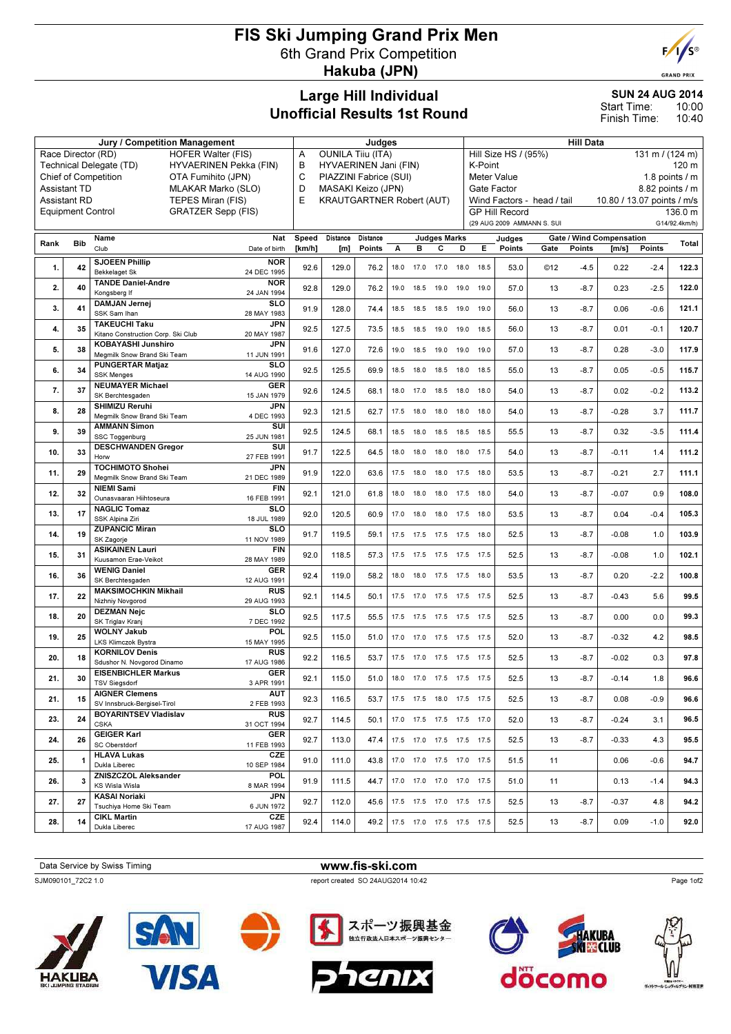## FIS Ski Jumping Grand Prix Men 6th Grand Prix Competition Hakuba (JPN)



**GRAND PRIX** 

## Large Hill Individual Unofficial Results 1st Round

SUN 24 AUG 2014 10:00 Start Time:

10:40 Finish Time:

| Jury / Competition Management                         |                     |                                                                  |                                                           |                                  | Judges                        |          |      |           |                                                                  |                  | <b>Hill Data</b>                        |                            |      |                            |                          |        |               |  |
|-------------------------------------------------------|---------------------|------------------------------------------------------------------|-----------------------------------------------------------|----------------------------------|-------------------------------|----------|------|-----------|------------------------------------------------------------------|------------------|-----------------------------------------|----------------------------|------|----------------------------|--------------------------|--------|---------------|--|
| <b>HOFER Walter (FIS)</b><br>Race Director (RD)       |                     |                                                                  |                                                           |                                  | <b>OUNILA Tiiu (ITA)</b><br>Α |          |      |           |                                                                  |                  | Hill Size HS / (95%)<br>131 m / (124 m) |                            |      |                            |                          |        |               |  |
|                                                       |                     | Technical Delegate (TD)<br>HYVAERINEN Pekka (FIN)                | HYVAERINEN Jani (FIN)<br>в<br>C<br>PIAZZINI Fabrice (SUI) |                                  |                               |          |      |           |                                                                  | K-Point<br>120 m |                                         |                            |      |                            |                          |        |               |  |
|                                                       | <b>Assistant TD</b> | Chief of Competition<br>OTA Fumihito (JPN)<br>MLAKAR Marko (SLO) | D<br>MASAKI Keizo (JPN)                                   |                                  |                               |          |      |           | 1.8 points $/m$<br>Meter Value<br>Gate Factor<br>8.82 points / m |                  |                                         |                            |      |                            |                          |        |               |  |
|                                                       | <b>Assistant RD</b> | TEPES Miran (FIS)                                                | E                                                         | <b>KRAUTGARTNER Robert (AUT)</b> |                               |          |      |           |                                                                  |                  |                                         | Wind Factors - head / tail |      | 10.80 / 13.07 points / m/s |                          |        |               |  |
| <b>GRATZER Sepp (FIS)</b><br><b>Equipment Control</b> |                     |                                                                  |                                                           |                                  |                               |          |      |           |                                                                  |                  |                                         | <b>GP Hill Record</b>      |      |                            |                          |        | 136.0 m       |  |
|                                                       |                     |                                                                  |                                                           |                                  |                               |          |      |           |                                                                  |                  |                                         | (29 AUG 2009 AMMANN S. SUI |      |                            |                          |        | G14/92.4km/h) |  |
| Rank                                                  | <b>Bib</b>          | Name                                                             | Nat                                                       | Speed                            | Distance                      | Distance |      |           | <b>Judges Marks</b>                                              |                  |                                         | Judges                     |      |                            | Gate / Wind Compensation |        | Total         |  |
|                                                       |                     | Club                                                             | Date of birth                                             | [km/h]                           | [m]                           | Points   | А    | в         | С                                                                | D                | Е                                       | Points                     | Gate | Points                     | [m/s]                    | Points |               |  |
| 1.                                                    | 42                  | <b>SJOEEN Phillip</b><br><b>Bekkelaget Sk</b>                    | <b>NOR</b><br>24 DEC 1995                                 | 92.6                             | 129.0                         | 76.2     |      |           | 18.0 17.0 17.0 18.0                                              |                  | 18.5                                    | 53.0                       | ©12  | $-4.5$                     | 0.22                     | $-2.4$ | 122.3         |  |
| 2.                                                    | 40                  | <b>TANDE Daniel-Andre</b><br>Kongsberg If                        | <b>NOR</b><br>24 JAN 1994                                 | 92.8                             | 129.0                         | 76.2     | 19.0 | 18.5      | 19.0 19.0                                                        |                  | 19.0                                    | 57.0                       | 13   | $-8.7$                     | 0.23                     | $-2.5$ | 122.0         |  |
| 3.                                                    | 41                  | <b>DAMJAN Jernei</b><br>SSK Sam Ihan                             | <b>SLO</b><br>28 MAY 1983                                 | 91.9                             | 128.0                         | 74.4     | 18.5 |           | 18.5 18.5 19.0                                                   |                  | 19.0                                    | 56.0                       | 13   | $-8.7$                     | 0.06                     | $-0.6$ | 121.1         |  |
| 4.                                                    | 35                  | <b>TAKEUCHI Taku</b><br>Kitano Construction Corp. Ski Club       | <b>JPN</b><br>20 MAY 1987                                 | 92.5                             | 127.5                         | 73.5     |      |           | 18.5 18.5 19.0 19.0                                              |                  | 18.5                                    | 56.0                       | 13   | $-8.7$                     | 0.01                     | $-0.1$ | 120.7         |  |
| 5.                                                    | 38                  | KOBAYASHI Junshiro<br>Megmilk Snow Brand Ski Team                | JPN<br>11 JUN 1991                                        | 91.6                             | 127.0                         | 72.6     |      |           | 19.0  18.5  19.0  19.0  19.0                                     |                  |                                         | 57.0                       | 13   | $-8.7$                     | 0.28                     | $-3.0$ | 117.9         |  |
| 6.                                                    | 34                  | <b>PUNGERTAR Matjaz</b><br><b>SSK Menges</b>                     | SLO<br>14 AUG 1990                                        | 92.5                             | 125.5                         | 69.9     | 18.5 | 18.0      | 18.5 18.0                                                        |                  | 18.5                                    | 55.0                       | 13   | $-8.7$                     | 0.05                     | $-0.5$ | 115.7         |  |
| 7.                                                    | 37                  | <b>NEUMAYER Michael</b><br>SK Berchtesgaden                      | <b>GER</b><br>15 JAN 1979                                 | 92.6                             | 124.5                         | 68.1     |      | 18.0 17.0 | 18.5 18.0                                                        |                  | 18.0                                    | 54.0                       | 13   | $-8.7$                     | 0.02                     | $-0.2$ | 113.2         |  |
| 8.                                                    | 28                  | SHIMIZU Reruhi<br>Megmilk Snow Brand Ski Team                    | <b>JPN</b><br>4 DEC 1993                                  | 92.3                             | 121.5                         | 62.7     | 17.5 | 18.0      | 18.0 18.0                                                        |                  | 18.0                                    | 54.0                       | 13   | $-8.7$                     | $-0.28$                  | 3.7    | 111.7         |  |
| 9.                                                    | 39                  | <b>AMMANN Simon</b><br>SSC Toggenburg                            | SUI<br>25 JUN 1981                                        | 92.5                             | 124.5                         | 68.1     |      |           | 18.5 18.0 18.5 18.5 18.5                                         |                  |                                         | 55.5                       | 13   | $-8.7$                     | 0.32                     | $-3.5$ | 111.4         |  |
| 10.                                                   | 33                  | <b>DESCHWANDEN Gregor</b><br>Horw                                | SUI<br>27 FEB 1991                                        | 91.7                             | 122.5                         | 64.5     |      |           | 18.0  18.0  18.0  18.0  17.5                                     |                  |                                         | 54.0                       | 13   | $-8.7$                     | $-0.11$                  | 1.4    | 111.2         |  |
| 11.                                                   | 29                  | <b>TOCHIMOTO Shohei</b><br>Megmilk Snow Brand Ski Team           | <b>JPN</b><br>21 DEC 1989                                 | 91.9                             | 122.0                         | 63.6     | 17.5 | 18.0      | 18.0 17.5                                                        |                  | 18.0                                    | 53.5                       | 13   | $-8.7$                     | $-0.21$                  | 2.7    | 111.1         |  |
| 12.                                                   | 32                  | <b>NIEMI Sami</b><br>Ounasvaaran Hiihtoseura                     | <b>FIN</b><br>16 FEB 1991                                 | 92.1                             | 121.0                         | 61.8     |      | 18.0 18.0 | 18.0 17.5                                                        |                  | 18.0                                    | 54.0                       | 13   | $-8.7$                     | $-0.07$                  | 0.9    | 108.0         |  |
| 13.                                                   | 17                  | <b>NAGLIC Tomaz</b><br>SSK Alpina Ziri                           | <b>SLO</b><br>18 JUL 1989                                 | 92.0                             | 120.5                         | 60.9     | 17.0 | 18.0      | 18.0 17.5                                                        |                  | 18.0                                    | 53.5                       | 13   | $-8.7$                     | 0.04                     | $-0.4$ | 105.3         |  |
| 14.                                                   | 19                  | <b>ZUPANCIC Miran</b><br>SK Zagorje                              | SLO<br>11 NOV 1989                                        | 91.7                             | 119.5                         | 59.1     |      |           | 17.5 17.5 17.5 17.5 18.0                                         |                  |                                         | 52.5                       | 13   | $-8.7$                     | $-0.08$                  | 1.0    | 103.9         |  |
| 15.                                                   | 31                  | <b>ASIKAINEN Lauri</b><br>Kuusamon Erae-Veikot                   | <b>FIN</b><br>28 MAY 1989                                 | 92.0                             | 118.5                         | 57.3     |      |           | 17.5 17.5 17.5 17.5 17.5                                         |                  |                                         | 52.5                       | 13   | $-8.7$                     | $-0.08$                  | 1.0    | 102.1         |  |
| 16.                                                   | 36                  | <b>WENIG Daniel</b><br>SK Berchtesgaden                          | <b>GER</b><br>12 AUG 1991                                 | 92.4                             | 119.0                         | 58.2     |      | 18.0 18.0 | 17.5 17.5                                                        |                  | 18.0                                    | 53.5                       | 13   | $-8.7$                     | 0.20                     | $-2.2$ | 100.8         |  |
| 17.                                                   | 22                  | <b>MAKSIMOCHKIN Mikhail</b><br>Nizhniy Novgorod                  | <b>RUS</b><br>29 AUG 1993                                 | 92.1                             | 114.5                         | 50.1     |      |           | 17.5 17.0 17.5 17.5 17.5                                         |                  |                                         | 52.5                       | 13   | $-8.7$                     | $-0.43$                  | 5.6    | 99.5          |  |
| 18.                                                   | 20                  | <b>DEZMAN Nejc</b><br>SK Triglav Kranj                           | SLO<br>7 DEC 1992                                         | 92.5                             | 117.5                         | 55.5     |      |           | 17.5 17.5 17.5 17.5 17.5                                         |                  |                                         | 52.5                       | 13   | $-8.7$                     | 0.00                     | 0.0    | 99.3          |  |
| 19.                                                   | 25                  | <b>WOLNY Jakub</b><br>LKS Klimczok Bystra                        | POL<br>15 MAY 1995                                        | 92.5                             | 115.0                         | 51.0     |      |           | 17.0 17.0 17.5 17.5 17.5                                         |                  |                                         | 52.0                       | 13   | $-8.7$                     | $-0.32$                  | 4.2    | 98.5          |  |
| 20.                                                   | 18                  | <b>KORNILOV Denis</b><br>Sdushor N. Novgorod Dinamo              | <b>RUS</b><br>17 AUG 1986                                 | 92.2                             | 116.5                         | 53.7     |      | 17.5 17.0 | 17.5 17.5                                                        |                  | 17.5                                    | 52.5                       | 13   | $-8.7$                     | $-0.02$                  | 0.3    | 97.8          |  |
| 21.                                                   | 30                  | <b>EISENBICHLER Markus</b><br>TSV Siegsdorf                      | <b>GER</b><br>3 APR 1991                                  | 92.1                             | 115.0                         | 51.0     |      |           | 18.0 17.0 17.5 17.5                                              |                  | 17.5                                    | 52.5                       | 13   | $-8.7$                     | $-0.14$                  | 1.8    | 96.6          |  |
| 21.                                                   | 15                  | <b>AIGNER Clemens</b><br>SV Innsbruck-Beraisel-Tirol             | <b>AUT</b><br>2 FEB 1993                                  | 92.3                             | 116.5                         | 53.7     |      |           | 17.5 17.5 18.0 17.5 17.5                                         |                  |                                         | 52.5                       | 13   | $-8.7$                     | 0.08                     | $-0.9$ | 96.6          |  |
| 23.                                                   | 24                  | <b>BOYARINTSEV Vladislav</b><br><b>CSKA</b>                      | <b>RUS</b><br>31 OCT 1994                                 | 92.7                             | 114.5                         | 50.1     |      |           | 17.0  17.5  17.5  17.5  17.0                                     |                  |                                         | 52.0                       | 13   | $-8.7$                     | $-0.24$                  | 3.1    | 96.5          |  |
| 24.                                                   | 26                  | <b>GEIGER Karl</b><br>SC Oberstdorf                              | <b>GER</b><br>11 FEB 1993                                 | 92.7                             | 113.0                         | 47.4     |      |           | 17.5 17.0 17.5 17.5 17.5                                         |                  |                                         | 52.5                       | 13   | $-8.7$                     | $-0.33$                  | 4.3    | 95.5          |  |
| 25.                                                   | 1                   | <b>HLAVA Lukas</b><br>Dukla Liberec                              | CZE<br>10 SEP 1984                                        | 91.0                             | 111.0                         | 43.8     |      |           | 17.0  17.0  17.5  17.0  17.5                                     |                  |                                         | 51.5                       | 11   |                            | 0.06                     | $-0.6$ | 94.7          |  |
| 26.                                                   | 3                   | <b>ZNISZCZOL Aleksander</b><br>KS Wisla Wisla                    | <b>POL</b><br>8 MAR 1994                                  | 91.9                             | 111.5                         | 44.7     |      |           | 17.0 17.0 17.0 17.0 17.5                                         |                  |                                         | 51.0                       | 11   |                            | 0.13                     | $-1.4$ | 94.3          |  |
| 27.                                                   | 27                  | <b>KASAI Noriaki</b><br>Tsuchiya Home Ski Team                   | JPN<br>6 JUN 1972                                         | 92.7                             | 112.0                         | 45.6     |      |           | 17.5 17.5 17.0 17.5 17.5                                         |                  |                                         | 52.5                       | 13   | $-8.7$                     | $-0.37$                  | 4.8    | 94.2          |  |
| 28.                                                   | 14                  | <b>CIKL Martin</b><br>Dukla Liberec                              | CZE<br>17 AUG 1987                                        | 92.4                             | 114.0                         | 49.2     |      |           | 17.5 17.0 17.5 17.5 17.5                                         |                  |                                         | 52.5                       | 13   | $-8.7$                     | 0.09                     | $-1.0$ | 92.0          |  |